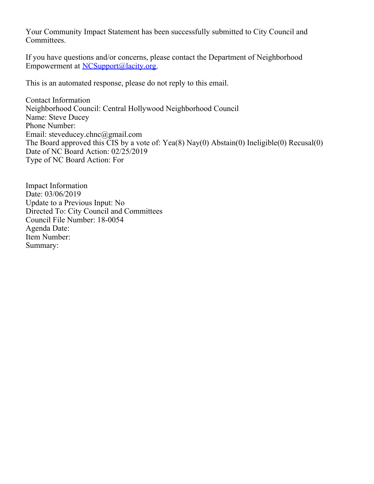Your Community Impact Statement has been successfully submitted to City Council and Committees.

If you have questions and/or concerns, please contact the Department of Neighborhood Empowerment at [NCSupport@lacity.org](mailto:NCSupport@lacity.org).

This is an automated response, please do not reply to this email.

Contact Information Neighborhood Council: Central Hollywood Neighborhood Council Name: Steve Ducey Phone Number: Email: steveducey.chnc@gmail.com The Board approved this CIS by a vote of: Yea(8) Nay(0) Abstain(0) Ineligible(0) Recusal(0) Date of NC Board Action: 02/25/2019 Type of NC Board Action: For

Impact Information Date: 03/06/2019 Update to a Previous Input: No Directed To: City Council and Committees Council File Number: 18-0054 Agenda Date: Item Number: Summary: